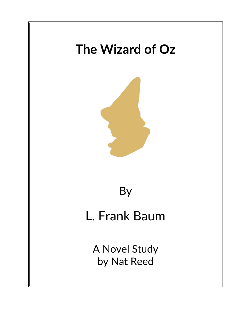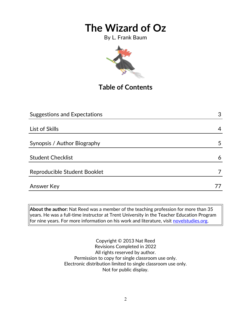By L. Frank Baum



# **Table of Contents**

| <b>Suggestions and Expectations</b> | 3 |
|-------------------------------------|---|
|                                     |   |
| List of Skills                      | 4 |
|                                     |   |
| Synopsis / Author Biography         | 5 |
|                                     |   |
| <b>Student Checklist</b>            | 6 |
|                                     |   |
| Reproducible Student Booklet        |   |
|                                     |   |
| <b>Answer Key</b>                   |   |

**About the author:** Nat Reed was a member of the teaching profession for more than 35 years. He was a full-time instructor at Trent University in the Teacher Education Program for nine years. For more information on his work and literature, visit [novelstudies.org.](http://www.novelstudies.org/)

> Copyright © 2013 Nat Reed Revisions Completed in 2022 All rights reserved by author. Permission to copy for single classroom use only. Electronic distribution limited to single classroom use only. Not for public display.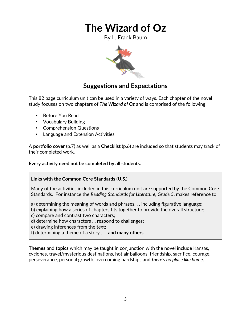By L. Frank Baum



### **Suggestions and Expectations**

This 82 page curriculum unit can be used in a variety of ways. Each chapter of the novel study focuses on two chapters of *The Wizard of Oz* and is comprised of the following:

- Before You Read
- Vocabulary Building
- Comprehension Questions
- Language and Extension Activities

A **portfolio cover** (p.7) as well as a **Checklist** (p.6) are included so that students may track of their completed work.

#### **Every activity need not be completed by all students.**

#### **Links with the Common Core Standards (U.S.)**

Many of the activities included in this curriculum unit are supported by the Common Core Standards. For instance the *Reading Standards for Literature, Grade 5*, makes reference to

a) determining the meaning of words and phrases. . . including figurative language;

b) explaining how a series of chapters fits together to provide the overall structure;

c) compare and contrast two characters;

d) determine how characters … respond to challenges;

e) drawing inferences from the text;

f) determining a theme of a story . . . **and many others.**

**Themes** and **topics** which may be taught in conjunction with the novel include Kansas, cyclones, travel/mysterious destinations, hot air balloons, friendship, sacrifice, courage, perseverance, personal growth, overcoming hardships and *there's no place like home*.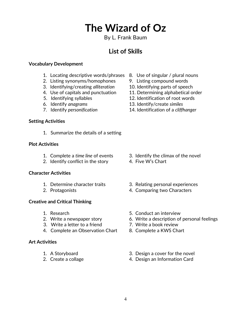### By L. Frank Baum

### **List of Skills**

#### **Vocabulary Development**

- 1. Locating descriptive words/phrases 8. Use of singular / plural nouns
- 2. Listing synonyms/homophones 9. Listing compound words
- 3. Identifying/creating *alliteration* 10. Identifying parts of speech
- 4. Use of capitals and punctuation 11. Determining alphabetical order
- 
- 
- 

#### **Setting Activities**

1. Summarize the details of a setting

#### **Plot Activities**

- 
- 2. Identify conflict in the story 4. Five W's Chart

#### **Character Activities**

- 
- 

#### **Creative and Critical Thinking**

- 
- 
- 3. Write a letter to a friend 7. Write a book review
- 4. Complete an Observation Chart 8. Complete a KWS Chart

#### **Art Activities**

- 
- 
- 
- 
- 
- 
- 5. Identifying syllables 12. Identification of root words
- 6. Identify *anagrams* 13. Identify/create *similes*
- 7. Identify *personification* 14. Identification of a *cliffhanger*

- 1. Complete a *time line* of events 3. Identify the climax of the novel
	-
- 1. Determine character traits 3. Relating personal experiences
- 2. Protagonists 4. Comparing two Characters
- 1. Research 5. Conduct an interview
- 2. Write a newspaper story 6. Write a description of personal feelings
	-
	-
- 1. A Storyboard 3. Design a cover for the novel
- 2. Create a collage 2. Create a collage 4. Design an Information Card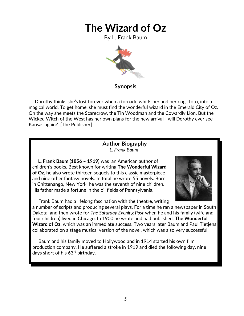By L. Frank Baum



### **Synopsis**

 Dorothy thinks she's lost forever when a tornado whirls her and her dog, Toto, into a magical world. To get home, she must find the wonderful wizard in the Emerald City of Oz. On the way she meets the Scarecrow, the Tin Woodman and the Cowardly Lion. But the Wicked Witch of the West has her own plans for the new arrival - will Dorothy ever see Kansas again? [The Publisher]

#### **Author Biography** *L. Frank Baum*

 **L. Frank Baum (1856 – 1919)** was an American author of children's books. Best known for writing **The Wonderful Wizard of Oz**, he also wrote thirteen sequels to this classic masterpiece and nine other fantasy novels. In total he wrote 55 novels. Born in Chittenango, New York, he was the seventh of nine children. His father made a fortune in the oil fields of Pennsylvania.



Frank Baum had a lifelong fascination with the theatre, writing

a number of scripts and producing several plays. For a time he ran a newspaper in South Dakota, and then wrote for *The Saturday Evening Post* when he and his family (wife and four children) lived in Chicago. In 1900 he wrote and had published, **The Wonderful Wizard of Oz**, which was an immediate success. Two years later Baum and Paul Tietjens collaborated on a stage musical version of the novel, which was also very successful.

 Baum and his family moved to Hollywood and in 1914 started his own film production company. He suffered a stroke in 1919 and died the following day, nine days short of his 63rd birthday.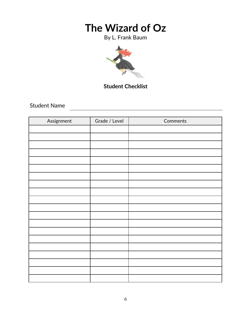By L. Frank Baum



### **Student Checklist**

Student Name

| Assignment | Grade / Level | Comments |
|------------|---------------|----------|
|            |               |          |
|            |               |          |
|            |               |          |
|            |               |          |
|            |               |          |
|            |               |          |
|            |               |          |
|            |               |          |
|            |               |          |
|            |               |          |
|            |               |          |
|            |               |          |
|            |               |          |
|            |               |          |
|            |               |          |
|            |               |          |
|            |               |          |
|            |               |          |
|            |               |          |
|            |               |          |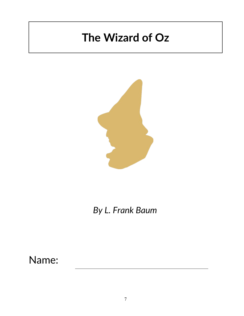

*By L. Frank Baum*

Name: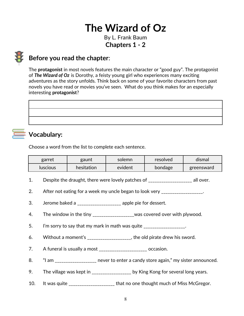By L. Frank Baum **Chapters 1 - 2**

### **Before you read the chapter**:

The **protagonist** in most novels features the main character or "good guy". The protagonist of *The Wizard of Oz* is Dorothy, a feisty young girl who experiences many exciting adventures as the story unfolds. Think back on some of your favorite characters from past novels you have read or movies you've seen. What do you think makes for an especially interesting **protagonist**?

# **Vocabulary:**

Choose a word from the list to complete each sentence.

| garret          | gaunt      | solemn  | resolved | dismal     |
|-----------------|------------|---------|----------|------------|
| <b>Iuscious</b> | hesitation | evident | bondage  | greensward |

- 1. Despite the draught, there were lovely patches of Theorem all over.
- 2. After not eating for a week my uncle began to look very \_\_\_\_\_\_\_\_\_\_\_\_\_\_\_\_\_\_\_.
- 3. Jerome baked a \_\_\_\_\_\_\_\_\_\_\_\_\_\_\_\_\_\_\_\_ apple pie for dessert.
- 4. The window in the tiny \_\_\_\_\_\_\_\_\_\_\_\_\_\_\_\_\_\_was covered over with plywood.
- 5. I'm sorry to say that my mark in math was quite  $\frac{1}{2}$
- 6. Without a moment's \_\_\_\_\_\_\_\_\_\_\_\_\_\_\_\_\_\_\_\_, the old pirate drew his sword.
- 7. A funeral is usually a most \_\_\_\_\_\_\_\_\_\_\_\_\_\_\_\_\_\_\_\_\_\_ occasion.
- 8. "I am \_\_\_\_\_\_\_\_\_\_\_\_\_\_\_\_\_ never to enter a candy store again," my sister announced.
- 9. The village was kept in \_\_\_\_\_\_\_\_\_\_\_\_\_\_\_\_\_ by King Kong for several long years.
- 10. It was quite \_\_\_\_\_\_\_\_\_\_\_\_\_\_\_\_\_\_\_\_\_\_ that no one thought much of Miss McGregor.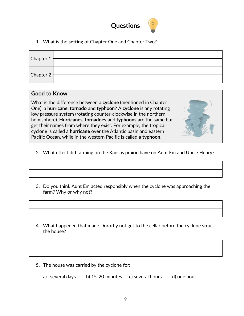

1. What is the **setting** of Chapter One and Chapter Two?

| $ $ Chapter 1     |  |
|-------------------|--|
| $ $ Chapter 2 $ $ |  |

#### **Good to Know**

What is the difference between a **cyclone** (mentioned in Chapter One), a **hurricane, tornado** and **typhoon**? A **cyclone** is any rotating low pressure system (rotating counter-clockwise in the northern hemisphere). **Hurricanes, tornadoes** and **typhoons** are the same but get their names from where they exist. For example, the tropical cyclone is called a **hurricane** over the Atlantic basin and eastern Pacific Ocean, while in the western Pacific is called a **typhoon**.

- 2. What effect did farming on the Kansas prairie have on Aunt Em and Uncle Henry?
- 3. Do you think Aunt Em acted responsibly when the cyclone was approaching the farm? Why or why not?
- 4. What happened that made Dorothy not get to the cellar before the cyclone struck the house?
- 5. The house was carried by the cyclone for:
	- a) several days b) 15-20 minutes c) several hours d) one hour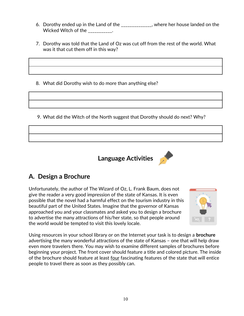- 6. Dorothy ended up in the Land of the subset of the state where her house landed on the Wicked Witch of the  $\qquad \qquad$ .
- 7. Dorothy was told that the Land of Oz was cut off from the rest of the world. What was it that cut them off in this way?

8. What did Dorothy wish to do more than anything else?

9. What did the Witch of the North suggest that Dorothy should do next? Why?



# **A. Design a Brochure**

Unfortunately, the author of The Wizard of Oz, L. Frank Baum, does not give the reader a very good impression of the state of Kansas. It is even possible that the novel had a harmful effect on the tourism industry in this beautiful part of the United States. Imagine that the governor of Kansas approached you and your classmates and asked you to design a brochure to advertise the many attractions of his/her state, so that people around the world would be tempted to visit this lovely locale.



Using resources in your school library or on the Internet your task is to design a **brochure** advertising the many wonderful attractions of the state of Kansas – one that will help draw even more travelers there. You may wish to examine different samples of brochures before beginning your project. The front cover should feature a title and colored picture. The inside of the brochure should feature at least four fascinating features of the state that will entice people to travel there as soon as they possibly can.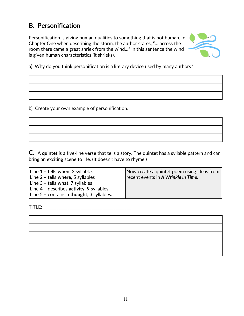### **B***.* **Personification**

Personification is giving human qualities to something that is not human. In Chapter One when describing the storm, the author states, "… across the room there came a great shriek from the wind…" In this sentence the wind is given human characteristics (it shrieks).



a) Why do you think personification is a literary device used by many authors?

b) Create your own example of personification.

**C.** A **quintet** is a five-line verse that tells a story. The quintet has a syllable pattern and can bring an exciting scene to life. (It doesn't have to rhyme.)

| Line 1 - tells when. 3 syllables           | Now create a quintet poem using ideas from |
|--------------------------------------------|--------------------------------------------|
| Line $2$ - tells where, 5 syllables        | recent events in A Wrinkle in Time.        |
| Line 3 - tells what, 7 syllables           |                                            |
| Line $4$ - describes activity, 9 syllables |                                            |
| Line 5 - contains a thought, 3 syllables.  |                                            |

TITLE: \_\_\_\_\_\_\_\_\_\_\_\_\_\_\_\_\_\_\_\_\_\_\_\_\_\_\_\_\_\_\_\_\_\_\_\_\_\_\_\_

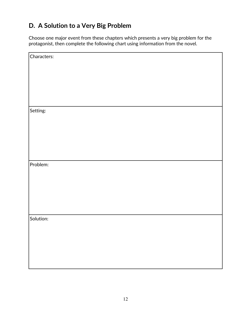# **D. A Solution to a Very Big Problem**

Choose one major event from these chapters which presents a very big problem for the protagonist, then complete the following chart using information from the novel.

| Characters: |
|-------------|
|             |
|             |
|             |
|             |
|             |
|             |
|             |
| Setting:    |
|             |
|             |
|             |
|             |
|             |
|             |
|             |
| Problem:    |
|             |
|             |
|             |
|             |
|             |
|             |
|             |
| Solution:   |
|             |
|             |
|             |
|             |
|             |
|             |
|             |